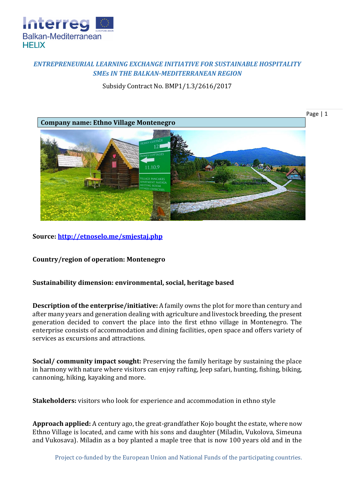

## *ENTREPRENEURIAL LEARNING EXCHANGE INITIATIVE FOR SUSTAINABLE HOSPITALITY SMEs IN THE BALKAN-MEDITERRANEAN REGION*

Subsidy Contract No. BMP1/1.3/2616/2017



**Source:<http://etnoselo.me/smjestaj.php>**

**Country/region of operation: Montenegro**

## **Sustainability dimension: environmental, social, heritage based**

**Description of the enterprise/initiative:** A family owns the plot for more than century and after many years and generation dealing with agriculture and livestock breeding, the present generation decided to convert the place into the first ethno village in Montenegro. The enterprise consists of accommodation and dining facilities, open space and offers variety of services as excursions and attractions.

**Social/ community impact sought:** Preserving the family heritage by sustaining the place in harmony with nature where visitors can enjoy rafting, Jeep safari, hunting, fishing, biking, cannoning, hiking, kayaking and more.

**Stakeholders:** visitors who look for experience and accommodation in ethno style

**Approach applied:** A century ago, the great-grandfather Kojo bought the estate, where now Ethno Village is located, and came with his sons and daughter (Miladin, Vukolova, Simeuna and Vukosava). Miladin as a boy planted a maple tree that is now 100 years old and in the